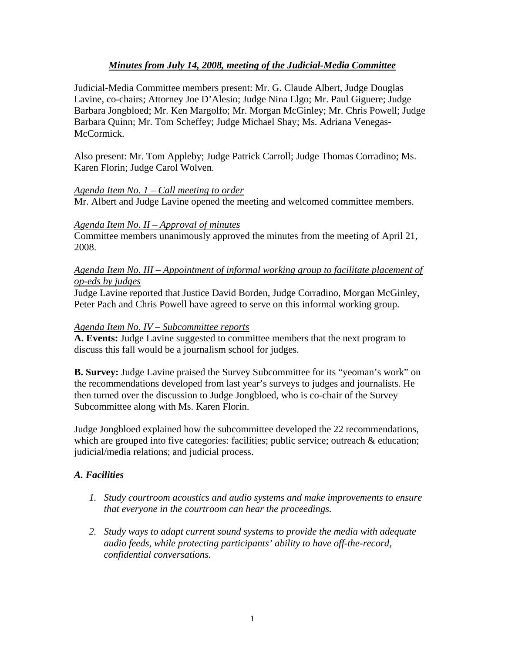# *Minutes from July 14, 2008, meeting of the Judicial-Media Committee*

Judicial-Media Committee members present: Mr. G. Claude Albert, Judge Douglas Lavine, co-chairs; Attorney Joe D'Alesio; Judge Nina Elgo; Mr. Paul Giguere; Judge Barbara Jongbloed; Mr. Ken Margolfo; Mr. Morgan McGinley; Mr. Chris Powell; Judge Barbara Quinn; Mr. Tom Scheffey; Judge Michael Shay; Ms. Adriana Venegas-McCormick.

Also present: Mr. Tom Appleby; Judge Patrick Carroll; Judge Thomas Corradino; Ms. Karen Florin; Judge Carol Wolven.

### *Agenda Item No. 1 – Call meeting to order*

Mr. Albert and Judge Lavine opened the meeting and welcomed committee members.

### *Agenda Item No. II – Approval of minutes*

Committee members unanimously approved the minutes from the meeting of April 21, 2008.

### *Agenda Item No. III – Appointment of informal working group to facilitate placement of op-eds by judges*

Judge Lavine reported that Justice David Borden, Judge Corradino, Morgan McGinley, Peter Pach and Chris Powell have agreed to serve on this informal working group.

### *Agenda Item No. IV – Subcommittee reports*

**A. Events:** Judge Lavine suggested to committee members that the next program to discuss this fall would be a journalism school for judges.

**B. Survey:** Judge Lavine praised the Survey Subcommittee for its "yeoman's work" on the recommendations developed from last year's surveys to judges and journalists. He then turned over the discussion to Judge Jongbloed, who is co-chair of the Survey Subcommittee along with Ms. Karen Florin.

Judge Jongbloed explained how the subcommittee developed the 22 recommendations, which are grouped into five categories: facilities; public service; outreach & education; judicial/media relations; and judicial process.

## *A. Facilities*

- *1. Study courtroom acoustics and audio systems and make improvements to ensure that everyone in the courtroom can hear the proceedings.*
- *2. Study ways to adapt current sound systems to provide the media with adequate audio feeds, while protecting participants' ability to have off-the-record, confidential conversations.*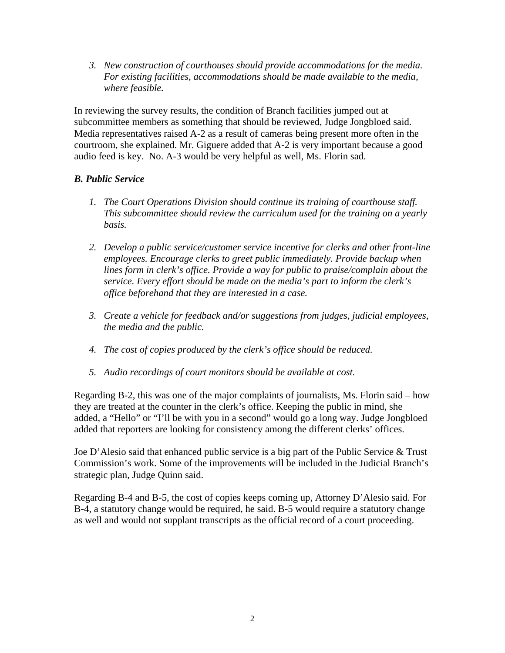*3. New construction of courthouses should provide accommodations for the media. For existing facilities, accommodations should be made available to the media, where feasible.* 

In reviewing the survey results, the condition of Branch facilities jumped out at subcommittee members as something that should be reviewed, Judge Jongbloed said. Media representatives raised A-2 as a result of cameras being present more often in the courtroom, she explained. Mr. Giguere added that A-2 is very important because a good audio feed is key. No. A-3 would be very helpful as well, Ms. Florin sad.

# *B. Public Service*

- *1. The Court Operations Division should continue its training of courthouse staff. This subcommittee should review the curriculum used for the training on a yearly basis.*
- *2. Develop a public service/customer service incentive for clerks and other front-line employees. Encourage clerks to greet public immediately. Provide backup when lines form in clerk's office. Provide a way for public to praise/complain about the service. Every effort should be made on the media's part to inform the clerk's office beforehand that they are interested in a case.*
- *3. Create a vehicle for feedback and/or suggestions from judges, judicial employees, the media and the public.*
- *4. The cost of copies produced by the clerk's office should be reduced.*
- *5. Audio recordings of court monitors should be available at cost.*

Regarding B-2, this was one of the major complaints of journalists, Ms. Florin said – how they are treated at the counter in the clerk's office. Keeping the public in mind, she added, a "Hello" or "I'll be with you in a second" would go a long way. Judge Jongbloed added that reporters are looking for consistency among the different clerks' offices.

Joe D'Alesio said that enhanced public service is a big part of the Public Service & Trust Commission's work. Some of the improvements will be included in the Judicial Branch's strategic plan, Judge Quinn said.

Regarding B-4 and B-5, the cost of copies keeps coming up, Attorney D'Alesio said. For B-4, a statutory change would be required, he said. B-5 would require a statutory change as well and would not supplant transcripts as the official record of a court proceeding.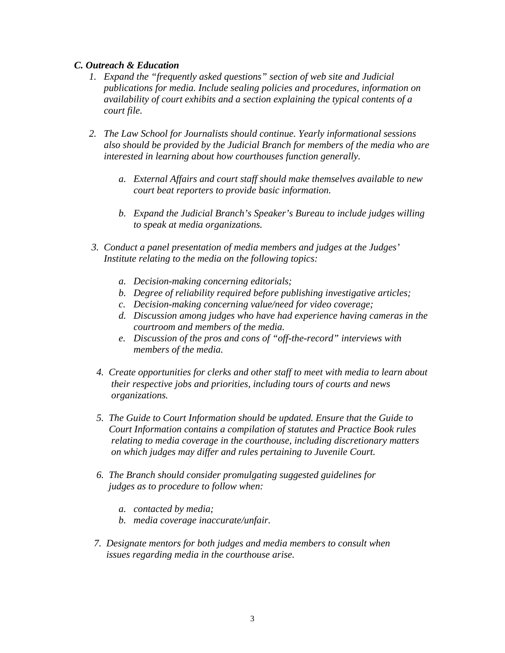### *C. Outreach & Education*

- *1. Expand the "frequently asked questions" section of web site and Judicial publications for media. Include sealing policies and procedures, information on availability of court exhibits and a section explaining the typical contents of a court file.*
- *2. The Law School for Journalists should continue. Yearly informational sessions also should be provided by the Judicial Branch for members of the media who are interested in learning about how courthouses function generally.* 
	- *a. External Affairs and court staff should make themselves available to new court beat reporters to provide basic information.*
	- *b. Expand the Judicial Branch's Speaker's Bureau to include judges willing to speak at media organizations.*
- *3. Conduct a panel presentation of media members and judges at the Judges' Institute relating to the media on the following topics:* 
	- *a. Decision-making concerning editorials;*
	- *b. Degree of reliability required before publishing investigative articles;*
	- *c. Decision-making concerning value/need for video coverage;*
	- *d. Discussion among judges who have had experience having cameras in the courtroom and members of the media.*
	- *e. Discussion of the pros and cons of "off-the-record" interviews with members of the media.*
- *4. Create opportunities for clerks and other staff to meet with media to learn about their respective jobs and priorities, including tours of courts and news organizations.*
- *5. The Guide to Court Information should be updated. Ensure that the Guide to Court Information contains a compilation of statutes and Practice Book rules relating to media coverage in the courthouse, including discretionary matters on which judges may differ and rules pertaining to Juvenile Court.*
- *6. The Branch should consider promulgating suggested guidelines for judges as to procedure to follow when:* 
	- *a. contacted by media;*
	- *b. media coverage inaccurate/unfair.*
- *7. Designate mentors for both judges and media members to consult when issues regarding media in the courthouse arise.*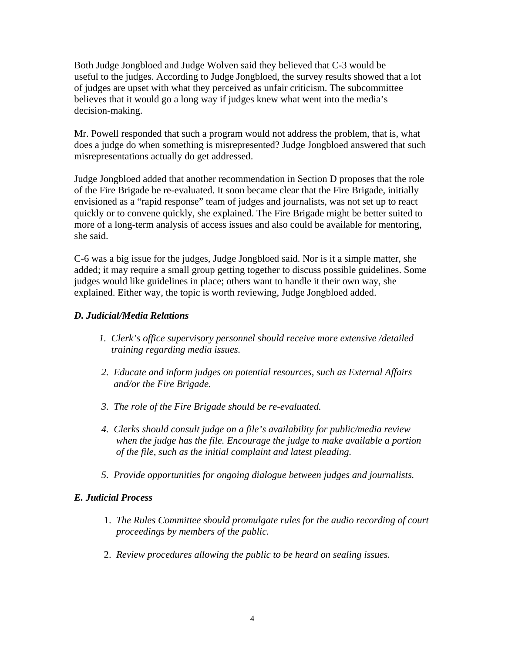Both Judge Jongbloed and Judge Wolven said they believed that C-3 would be useful to the judges. According to Judge Jongbloed, the survey results showed that a lot of judges are upset with what they perceived as unfair criticism. The subcommittee believes that it would go a long way if judges knew what went into the media's decision-making.

Mr. Powell responded that such a program would not address the problem, that is, what does a judge do when something is misrepresented? Judge Jongbloed answered that such misrepresentations actually do get addressed.

Judge Jongbloed added that another recommendation in Section D proposes that the role of the Fire Brigade be re-evaluated. It soon became clear that the Fire Brigade, initially envisioned as a "rapid response" team of judges and journalists, was not set up to react quickly or to convene quickly, she explained. The Fire Brigade might be better suited to more of a long-term analysis of access issues and also could be available for mentoring, she said.

C-6 was a big issue for the judges, Judge Jongbloed said. Nor is it a simple matter, she added; it may require a small group getting together to discuss possible guidelines. Some judges would like guidelines in place; others want to handle it their own way, she explained. Either way, the topic is worth reviewing, Judge Jongbloed added.

## *D. Judicial/Media Relations*

- *1. Clerk's office supervisory personnel should receive more extensive /detailed training regarding media issues.*
- *2. Educate and inform judges on potential resources, such as External Affairs and/or the Fire Brigade.*
- *3. The role of the Fire Brigade should be re-evaluated.*
- *4. Clerks should consult judge on a file's availability for public/media review when the judge has the file. Encourage the judge to make available a portion of the file, such as the initial complaint and latest pleading.*
- *5. Provide opportunities for ongoing dialogue between judges and journalists.*

## *E. Judicial Process*

- 1. *The Rules Committee should promulgate rules for the audio recording of court proceedings by members of the public.*
- 2. *Review procedures allowing the public to be heard on sealing issues.*